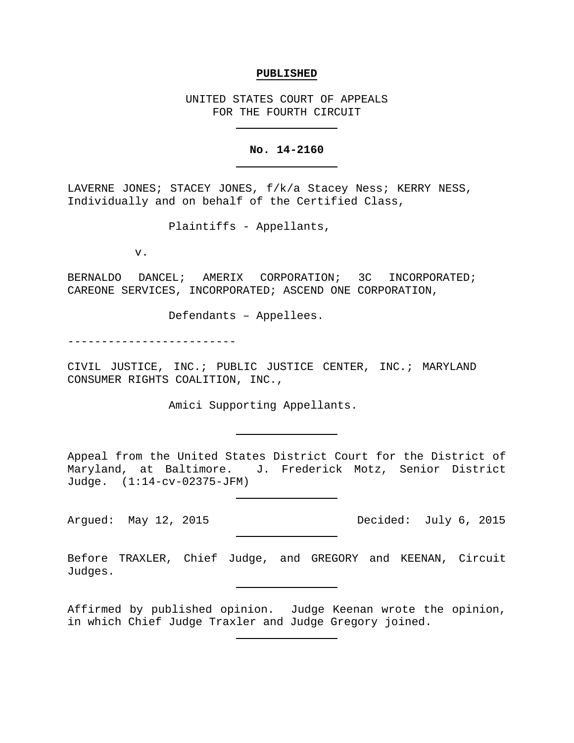### **PUBLISHED**

UNITED STATES COURT OF APPEALS FOR THE FOURTH CIRCUIT

### **No. 14-2160**

LAVERNE JONES; STACEY JONES, f/k/a Stacey Ness; KERRY NESS, Individually and on behalf of the Certified Class,

Plaintiffs - Appellants,

v.

BERNALDO DANCEL; AMERIX CORPORATION; 3C INCORPORATED; CAREONE SERVICES, INCORPORATED; ASCEND ONE CORPORATION,

Defendants – Appellees.

-------------------------

CIVIL JUSTICE, INC.; PUBLIC JUSTICE CENTER, INC.; MARYLAND CONSUMER RIGHTS COALITION, INC.,

Amici Supporting Appellants.

Appeal from the United States District Court for the District of Maryland, at Baltimore. J. Frederick Motz, Senior District Judge. (1:14-cv-02375-JFM)

Before TRAXLER, Chief Judge, and GREGORY and KEENAN, Circuit Judges.

Affirmed by published opinion. Judge Keenan wrote the opinion, in which Chief Judge Traxler and Judge Gregory joined.

Argued: May 12, 2015 Decided: July 6, 2015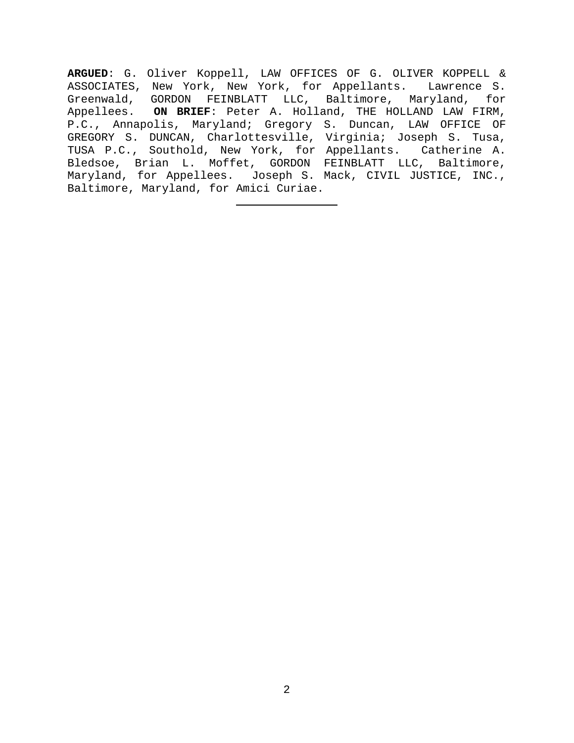**ARGUED**: G. Oliver Koppell, LAW OFFICES OF G. OLIVER KOPPELL & ASSOCIATES, New York, New York, for Appellants. Lawrence S. Greenwald, GORDON FEINBLATT LLC, Baltimore, Maryland, for Appellees. **ON BRIEF**: Peter A. Holland, THE HOLLAND LAW FIRM, P.C., Annapolis, Maryland; Gregory S. Duncan, LAW OFFICE OF GREGORY S. DUNCAN, Charlottesville, Virginia; Joseph S. Tusa, TUSA P.C., Southold, New York, for Appellants. Catherine A. Bledsoe, Brian L. Moffet, GORDON FEINBLATT LLC, Baltimore, Maryland, for Appellees. Joseph S. Mack, CIVIL JUSTICE, INC., Baltimore, Maryland, for Amici Curiae.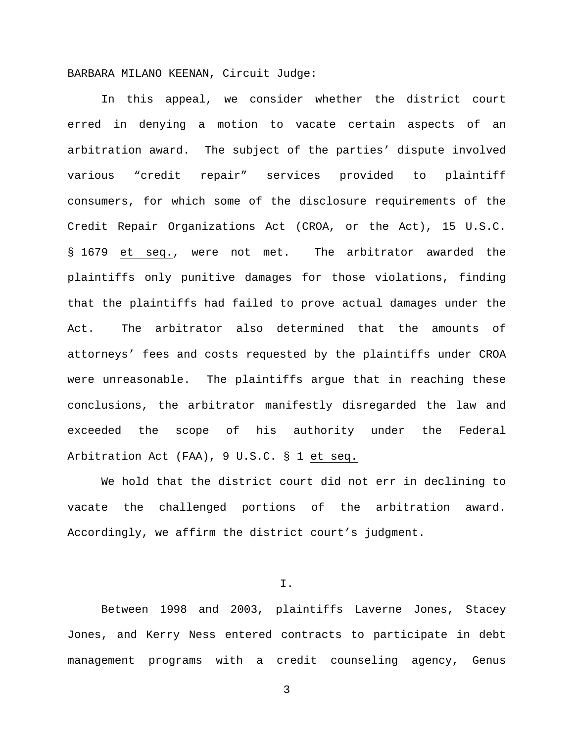BARBARA MILANO KEENAN, Circuit Judge:

In this appeal, we consider whether the district court erred in denying a motion to vacate certain aspects of an arbitration award. The subject of the parties' dispute involved various "credit repair" services provided to plaintiff consumers, for which some of the disclosure requirements of the Credit Repair Organizations Act (CROA, or the Act), 15 U.S.C. § 1679 et seq., were not met. The arbitrator awarded the plaintiffs only punitive damages for those violations, finding that the plaintiffs had failed to prove actual damages under the Act. The arbitrator also determined that the amounts of attorneys' fees and costs requested by the plaintiffs under CROA were unreasonable. The plaintiffs argue that in reaching these conclusions, the arbitrator manifestly disregarded the law and exceeded the scope of his authority under the Federal Arbitration Act (FAA), 9 U.S.C. § 1 et seq.

We hold that the district court did not err in declining to vacate the challenged portions of the arbitration award. Accordingly, we affirm the district court's judgment.

I.

Between 1998 and 2003, plaintiffs Laverne Jones, Stacey Jones, and Kerry Ness entered contracts to participate in debt management programs with a credit counseling agency, Genus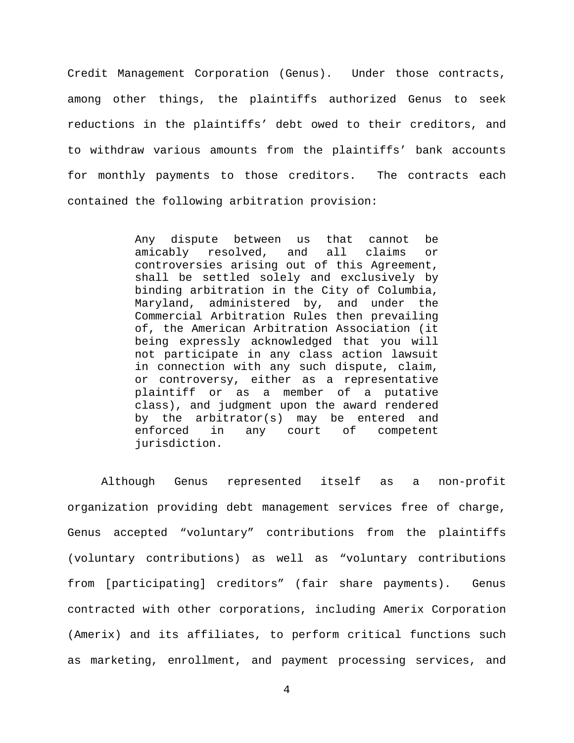Credit Management Corporation (Genus). Under those contracts, among other things, the plaintiffs authorized Genus to seek reductions in the plaintiffs' debt owed to their creditors, and to withdraw various amounts from the plaintiffs' bank accounts for monthly payments to those creditors. The contracts each contained the following arbitration provision:

> Any dispute between us that cannot be<br>amicably resolved, and all claims or resolved, and all claims or controversies arising out of this Agreement, shall be settled solely and exclusively by binding arbitration in the City of Columbia, Maryland, administered by, and under the Commercial Arbitration Rules then prevailing of, the American Arbitration Association (it being expressly acknowledged that you will not participate in any class action lawsuit in connection with any such dispute, claim, or controversy, either as a representative plaintiff or as a member of a putative class), and judgment upon the award rendered by the arbitrator(s) may be entered and<br>enforced in any court of competent in any court of competent jurisdiction.

Although Genus represented itself as a non-profit organization providing debt management services free of charge, Genus accepted "voluntary" contributions from the plaintiffs (voluntary contributions) as well as "voluntary contributions from [participating] creditors" (fair share payments). Genus contracted with other corporations, including Amerix Corporation (Amerix) and its affiliates, to perform critical functions such as marketing, enrollment, and payment processing services, and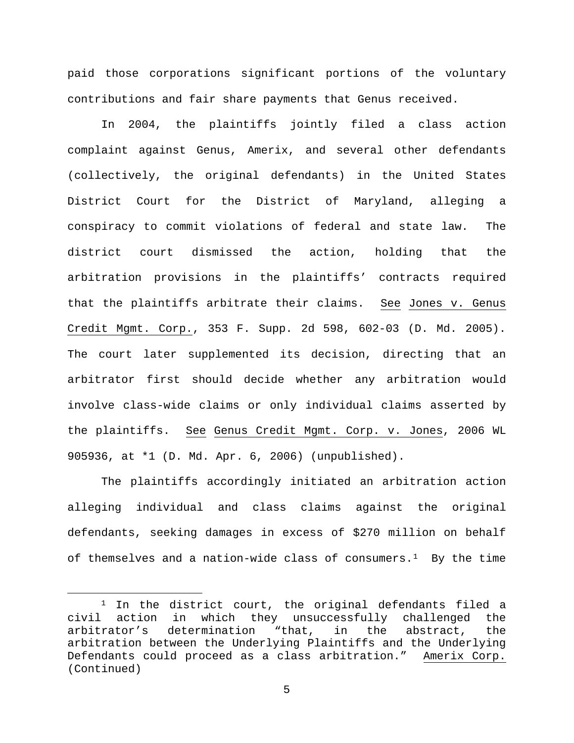paid those corporations significant portions of the voluntary contributions and fair share payments that Genus received.

In 2004, the plaintiffs jointly filed a class action complaint against Genus, Amerix, and several other defendants (collectively, the original defendants) in the United States District Court for the District of Maryland, alleging a conspiracy to commit violations of federal and state law. The district court dismissed the action, holding that the arbitration provisions in the plaintiffs' contracts required that the plaintiffs arbitrate their claims. See Jones v. Genus Credit Mgmt. Corp., 353 F. Supp. 2d 598, 602-03 (D. Md. 2005). The court later supplemented its decision, directing that an arbitrator first should decide whether any arbitration would involve class-wide claims or only individual claims asserted by the plaintiffs. See Genus Credit Mgmt. Corp. v. Jones, 2006 WL 905936, at \*1 (D. Md. Apr. 6, 2006) (unpublished).

The plaintiffs accordingly initiated an arbitration action alleging individual and class claims against the original defendants, seeking damages in excess of \$270 million on behalf of themselves and a nation-wide class of consumers.<sup>1</sup> By the time

<span id="page-4-0"></span><sup>&</sup>lt;sup>1</sup> In the district court, the original defendants filed a civil action in which they unsuccessfully challenged the<br>arbitrator's determination "that, in the abstract, the "that, in the abstract, the arbitration between the Underlying Plaintiffs and the Underlying Defendants could proceed as a class arbitration." Amerix Corp. (Continued)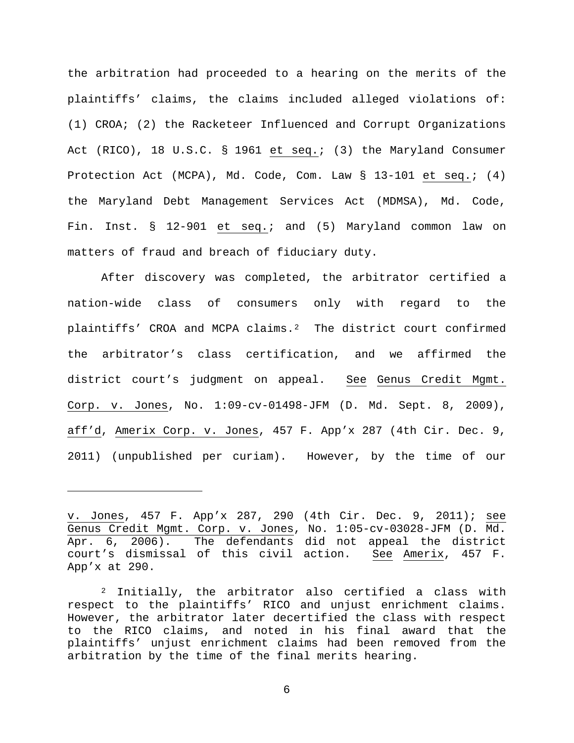the arbitration had proceeded to a hearing on the merits of the plaintiffs' claims, the claims included alleged violations of: (1) CROA; (2) the Racketeer Influenced and Corrupt Organizations Act (RICO), 18 U.S.C. § 1961 et seq.; (3) the Maryland Consumer Protection Act (MCPA), Md. Code, Com. Law § 13-101 et seq.; (4) the Maryland Debt Management Services Act (MDMSA), Md. Code, Fin. Inst. § 12-901 et seq.; and (5) Maryland common law on matters of fraud and breach of fiduciary duty.

After discovery was completed, the arbitrator certified a nation-wide class of consumers only with regard to the plaintiffs' CROA and MCPA claims.<sup>2</sup> The district court confirmed the arbitrator's class certification, and we affirmed the district court's judgment on appeal. See Genus Credit Mgmt. Corp. v. Jones, No. 1:09-cv-01498-JFM (D. Md. Sept. 8, 2009), aff'd, Amerix Corp. v. Jones, 457 F. App'x 287 (4th Cir. Dec. 9, 2011) (unpublished per curiam). However, by the time of our

Ĩ.

v. Jones, 457 F. App'x 287, 290 (4th Cir. Dec. 9, 2011); see Genus Credit Mgmt. Corp. v. Jones, No. 1:05-cv-03028-JFM (D. Md. Apr. 6, 2006). The defendants did not appeal the district<br>court's dismissal of this civil action. See Amerix, 457 F. court's dismissal of this civil action. App'x at 290.

<span id="page-5-0"></span><sup>2</sup> Initially, the arbitrator also certified a class with respect to the plaintiffs' RICO and unjust enrichment claims. However, the arbitrator later decertified the class with respect to the RICO claims, and noted in his final award that the plaintiffs' unjust enrichment claims had been removed from the arbitration by the time of the final merits hearing.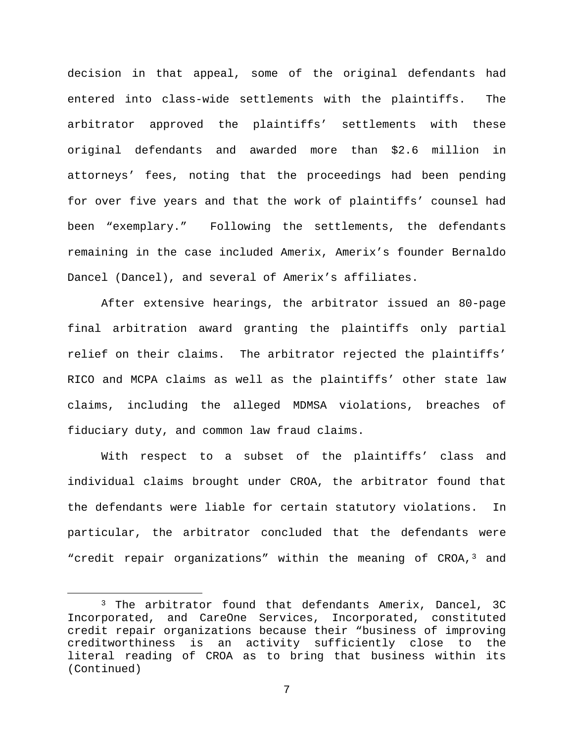decision in that appeal, some of the original defendants had entered into class-wide settlements with the plaintiffs. The arbitrator approved the plaintiffs' settlements with these original defendants and awarded more than \$2.6 million in attorneys' fees, noting that the proceedings had been pending for over five years and that the work of plaintiffs' counsel had been "exemplary." Following the settlements, the defendants remaining in the case included Amerix, Amerix's founder Bernaldo Dancel (Dancel), and several of Amerix's affiliates.

After extensive hearings, the arbitrator issued an 80-page final arbitration award granting the plaintiffs only partial relief on their claims. The arbitrator rejected the plaintiffs' RICO and MCPA claims as well as the plaintiffs' other state law claims, including the alleged MDMSA violations, breaches of fiduciary duty, and common law fraud claims.

With respect to a subset of the plaintiffs' class and individual claims brought under CROA, the arbitrator found that the defendants were liable for certain statutory violations. In particular, the arbitrator concluded that the defendants were "credit repair organizations" within the meaning of CROA,<sup>[3](#page-6-0)</sup> and

<span id="page-6-0"></span> <sup>3</sup> The arbitrator found that defendants Amerix, Dancel, 3C Incorporated, and CareOne Services, Incorporated, constituted credit repair organizations because their "business of improving<br>creditworthiness is an activity sufficiently close to the an activity sufficiently close to the literal reading of CROA as to bring that business within its (Continued)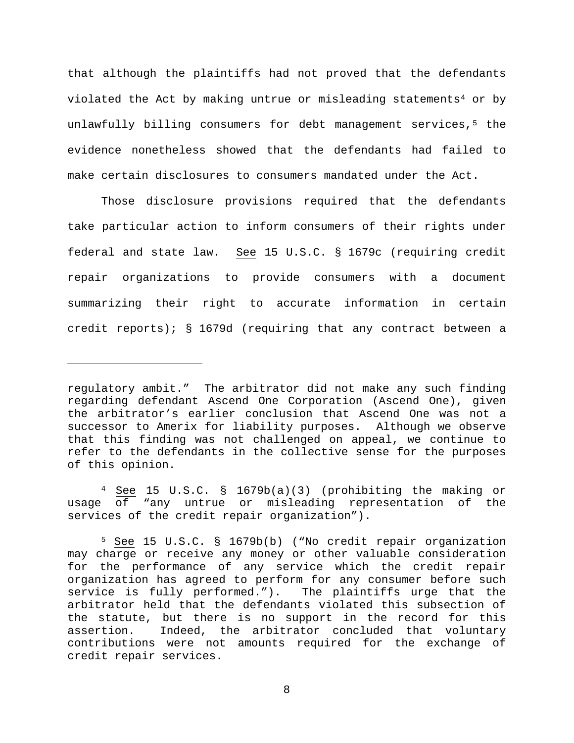that although the plaintiffs had not proved that the defendants violated the Act by making untrue or misleading statements<sup>[4](#page-7-0)</sup> or by unlawfully billing consumers for debt management services,<sup>[5](#page-7-1)</sup> the evidence nonetheless showed that the defendants had failed to make certain disclosures to consumers mandated under the Act.

Those disclosure provisions required that the defendants take particular action to inform consumers of their rights under federal and state law. See 15 U.S.C. § 1679c (requiring credit repair organizations to provide consumers with a document summarizing their right to accurate information in certain credit reports); § 1679d (requiring that any contract between a

Ĩ.

<span id="page-7-0"></span><sup>4</sup> See 15 U.S.C. § 1679b(a)(3) (prohibiting the making or usage of "any untrue or misleading representation of the services of the credit repair organization").

regulatory ambit." The arbitrator did not make any such finding regarding defendant Ascend One Corporation (Ascend One), given the arbitrator's earlier conclusion that Ascend One was not a successor to Amerix for liability purposes. Although we observe that this finding was not challenged on appeal, we continue to refer to the defendants in the collective sense for the purposes of this opinion.

<span id="page-7-1"></span><sup>5</sup> See 15 U.S.C. § 1679b(b) ("No credit repair organization may charge or receive any money or other valuable consideration for the performance of any service which the credit repair organization has agreed to perform for any consumer before such service is fully performed."). The plaintiffs urge that the arbitrator held that the defendants violated this subsection of the statute, but there is no support in the record for this<br>assertion. Indeed, the arbitrator concluded that voluntary Indeed, the arbitrator concluded that voluntary contributions were not amounts required for the exchange of credit repair services.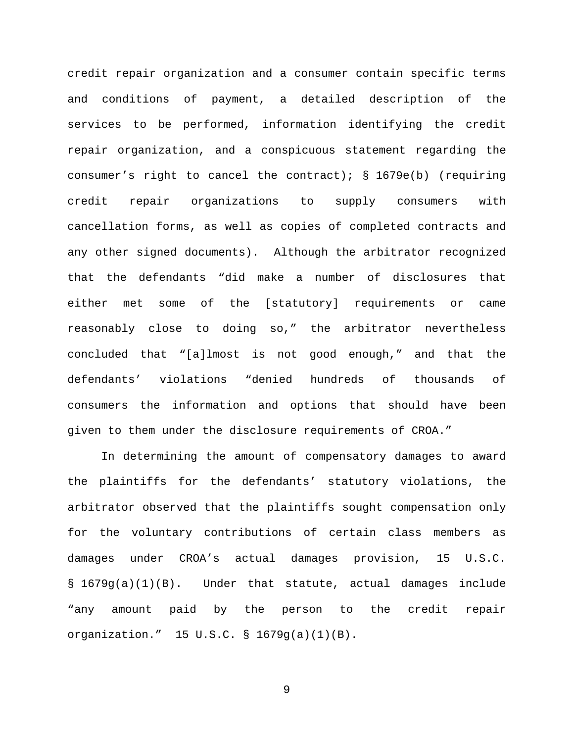credit repair organization and a consumer contain specific terms and conditions of payment, a detailed description of the services to be performed, information identifying the credit repair organization, and a conspicuous statement regarding the consumer's right to cancel the contract);  $\S$  1679e(b) (requiring credit repair organizations to supply consumers with cancellation forms, as well as copies of completed contracts and any other signed documents). Although the arbitrator recognized that the defendants "did make a number of disclosures that either met some of the [statutory] requirements or came reasonably close to doing so," the arbitrator nevertheless concluded that "[a]lmost is not good enough," and that the defendants' violations "denied hundreds of thousands of consumers the information and options that should have been given to them under the disclosure requirements of CROA."

In determining the amount of compensatory damages to award the plaintiffs for the defendants' statutory violations, the arbitrator observed that the plaintiffs sought compensation only for the voluntary contributions of certain class members as damages under CROA's actual damages provision, 15 U.S.C. § 1679g(a)(1)(B). Under that statute, actual damages include "any amount paid by the person to the credit repair organization." 15 U.S.C. § 1679g(a)(1)(B).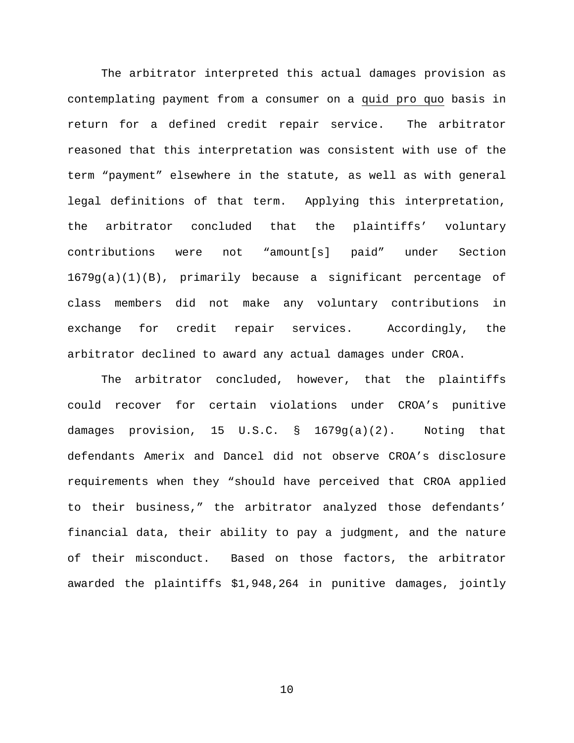The arbitrator interpreted this actual damages provision as contemplating payment from a consumer on a quid pro quo basis in return for a defined credit repair service. The arbitrator reasoned that this interpretation was consistent with use of the term "payment" elsewhere in the statute, as well as with general legal definitions of that term. Applying this interpretation, the arbitrator concluded that the plaintiffs' voluntary contributions were not "amount[s] paid" under Section 1679g(a)(1)(B), primarily because a significant percentage of class members did not make any voluntary contributions in exchange for credit repair services. Accordingly, the arbitrator declined to award any actual damages under CROA.

The arbitrator concluded, however, that the plaintiffs could recover for certain violations under CROA's punitive damages provision, 15 U.S.C. § 1679g(a)(2). Noting that defendants Amerix and Dancel did not observe CROA's disclosure requirements when they "should have perceived that CROA applied to their business," the arbitrator analyzed those defendants' financial data, their ability to pay a judgment, and the nature of their misconduct. Based on those factors, the arbitrator awarded the plaintiffs \$1,948,264 in punitive damages, jointly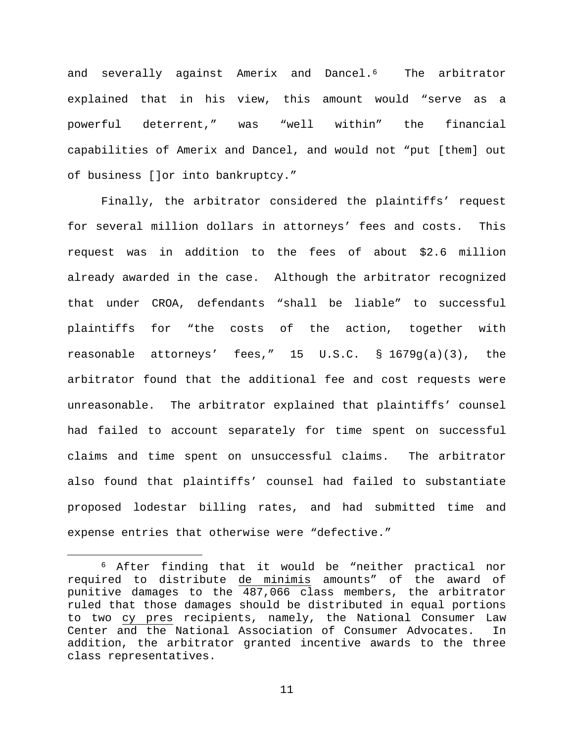and severally against Amerix and Dancel.[6](#page-10-0) The arbitrator explained that in his view, this amount would "serve as a powerful deterrent," was "well within" the financial capabilities of Amerix and Dancel, and would not "put [them] out of business []or into bankruptcy."

Finally, the arbitrator considered the plaintiffs' request for several million dollars in attorneys' fees and costs. This request was in addition to the fees of about \$2.6 million already awarded in the case. Although the arbitrator recognized that under CROA, defendants "shall be liable" to successful plaintiffs for "the costs of the action, together with reasonable attorneys' fees," 15 U.S.C.  $\S$  1679q(a)(3), the arbitrator found that the additional fee and cost requests were unreasonable. The arbitrator explained that plaintiffs' counsel had failed to account separately for time spent on successful claims and time spent on unsuccessful claims. The arbitrator also found that plaintiffs' counsel had failed to substantiate proposed lodestar billing rates, and had submitted time and expense entries that otherwise were "defective."

<span id="page-10-0"></span> <sup>6</sup> After finding that it would be "neither practical nor required to distribute de minimis amounts" of the award of punitive damages to the 487,066 class members, the arbitrator ruled that those damages should be distributed in equal portions to two cy pres recipients, namely, the National Consumer Law Center and the National Association of Consumer Advocates. In addition, the arbitrator granted incentive awards to the three class representatives.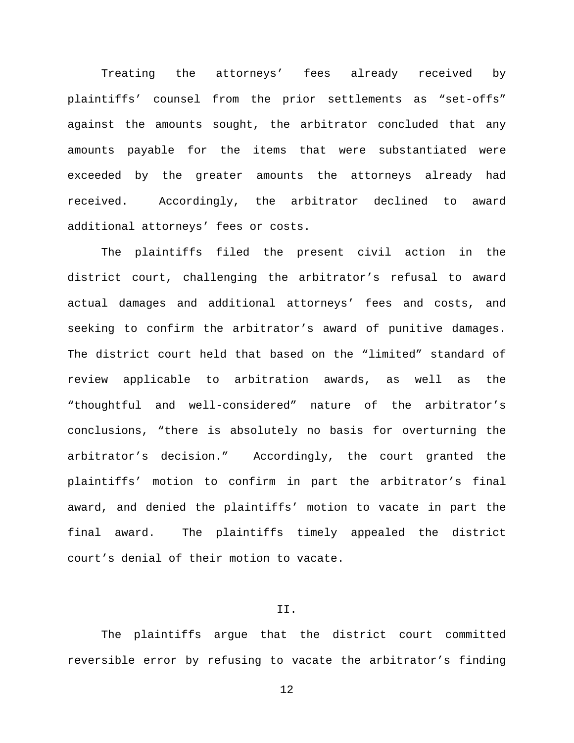Treating the attorneys' fees already received by plaintiffs' counsel from the prior settlements as "set-offs" against the amounts sought, the arbitrator concluded that any amounts payable for the items that were substantiated were exceeded by the greater amounts the attorneys already had received. Accordingly, the arbitrator declined to award additional attorneys' fees or costs.

The plaintiffs filed the present civil action in the district court, challenging the arbitrator's refusal to award actual damages and additional attorneys' fees and costs, and seeking to confirm the arbitrator's award of punitive damages. The district court held that based on the "limited" standard of review applicable to arbitration awards, as well as the "thoughtful and well-considered" nature of the arbitrator's conclusions, "there is absolutely no basis for overturning the arbitrator's decision." Accordingly, the court granted the plaintiffs' motion to confirm in part the arbitrator's final award, and denied the plaintiffs' motion to vacate in part the final award. The plaintiffs timely appealed the district court's denial of their motion to vacate.

# II.

The plaintiffs argue that the district court committed reversible error by refusing to vacate the arbitrator's finding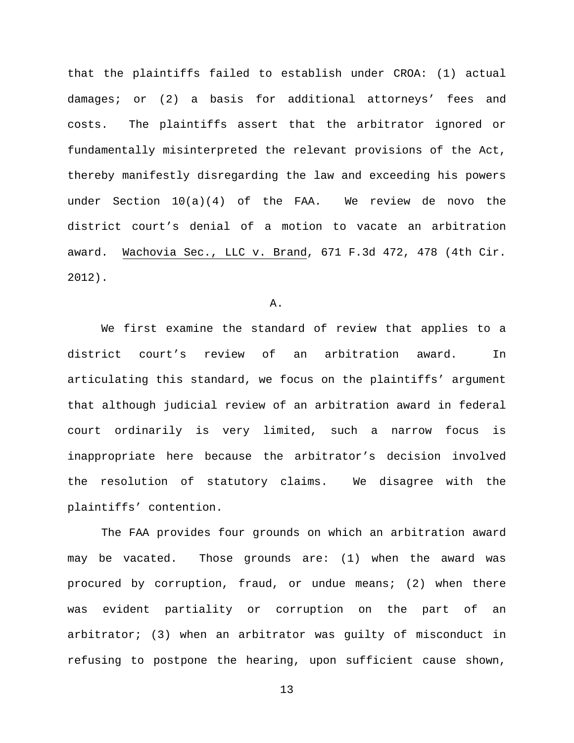that the plaintiffs failed to establish under CROA: (1) actual damages; or (2) a basis for additional attorneys' fees and costs. The plaintiffs assert that the arbitrator ignored or fundamentally misinterpreted the relevant provisions of the Act, thereby manifestly disregarding the law and exceeding his powers under Section 10(a)(4) of the FAA. We review de novo the district court's denial of a motion to vacate an arbitration award. Wachovia Sec., LLC v. Brand, 671 F.3d 472, 478 (4th Cir. 2012).

A.

We first examine the standard of review that applies to a district court's review of an arbitration award. In articulating this standard, we focus on the plaintiffs' argument that although judicial review of an arbitration award in federal court ordinarily is very limited, such a narrow focus is inappropriate here because the arbitrator's decision involved the resolution of statutory claims. We disagree with the plaintiffs' contention.

The FAA provides four grounds on which an arbitration award may be vacated. Those grounds are: (1) when the award was procured by corruption, fraud, or undue means; (2) when there was evident partiality or corruption on the part of an arbitrator; (3) when an arbitrator was guilty of misconduct in refusing to postpone the hearing, upon sufficient cause shown,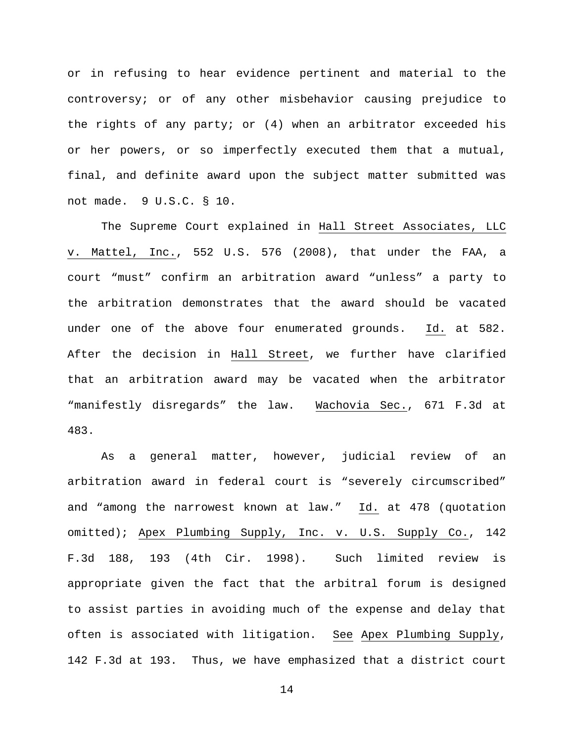or in refusing to hear evidence pertinent and material to the controversy; or of any other misbehavior causing prejudice to the rights of any party; or (4) when an arbitrator exceeded his or her powers, or so imperfectly executed them that a mutual, final, and definite award upon the subject matter submitted was not made. 9 U.S.C. § 10.

The Supreme Court explained in Hall Street Associates, LLC v. Mattel, Inc., 552 U.S. 576 (2008), that under the FAA, a court "must" confirm an arbitration award "unless" a party to the arbitration demonstrates that the award should be vacated under one of the above four enumerated grounds. Id. at 582. After the decision in Hall Street, we further have clarified that an arbitration award may be vacated when the arbitrator "manifestly disregards" the law. Wachovia Sec., 671 F.3d at 483.

As a general matter, however, judicial review of an arbitration award in federal court is "severely circumscribed" and "among the narrowest known at law." Id. at 478 (quotation omitted); Apex Plumbing Supply, Inc. v. U.S. Supply Co., 142 F.3d 188, 193 (4th Cir. 1998). Such limited review is appropriate given the fact that the arbitral forum is designed to assist parties in avoiding much of the expense and delay that often is associated with litigation. See Apex Plumbing Supply, 142 F.3d at 193. Thus, we have emphasized that a district court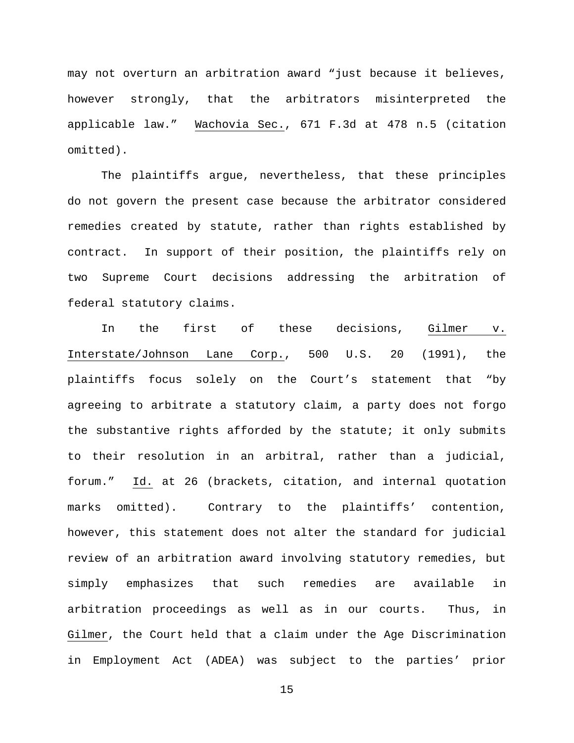may not overturn an arbitration award "just because it believes, however strongly, that the arbitrators misinterpreted the applicable law." Wachovia Sec., 671 F.3d at 478 n.5 (citation omitted).

The plaintiffs argue, nevertheless, that these principles do not govern the present case because the arbitrator considered remedies created by statute, rather than rights established by contract. In support of their position, the plaintiffs rely on two Supreme Court decisions addressing the arbitration of federal statutory claims.

In the first of these decisions, Gilmer v. Interstate/Johnson Lane Corp., 500 U.S. 20 (1991), the plaintiffs focus solely on the Court's statement that "by agreeing to arbitrate a statutory claim, a party does not forgo the substantive rights afforded by the statute; it only submits to their resolution in an arbitral, rather than a judicial, forum." Id. at 26 (brackets, citation, and internal quotation marks omitted). Contrary to the plaintiffs' contention, however, this statement does not alter the standard for judicial review of an arbitration award involving statutory remedies, but simply emphasizes that such remedies are available in arbitration proceedings as well as in our courts. Thus, in Gilmer, the Court held that a claim under the Age Discrimination in Employment Act (ADEA) was subject to the parties' prior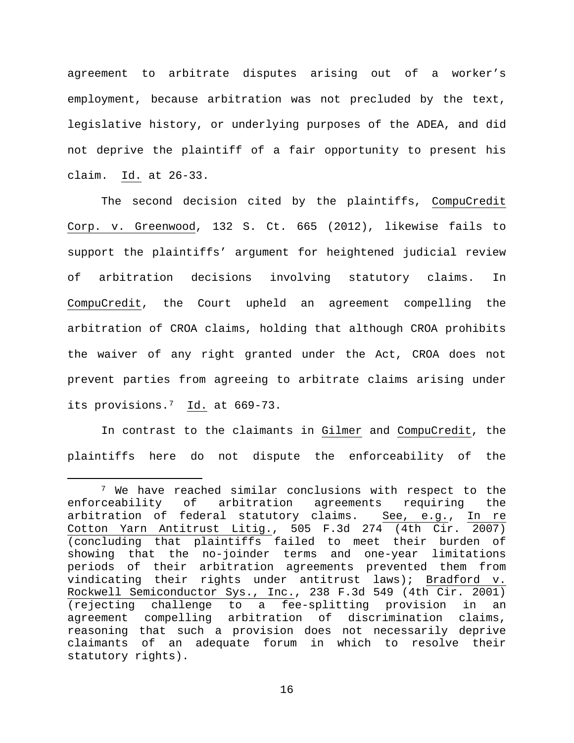agreement to arbitrate disputes arising out of a worker's employment, because arbitration was not precluded by the text, legislative history, or underlying purposes of the ADEA, and did not deprive the plaintiff of a fair opportunity to present his claim. Id. at 26-33.

The second decision cited by the plaintiffs, CompuCredit Corp. v. Greenwood, 132 S. Ct. 665 (2012), likewise fails to support the plaintiffs' argument for heightened judicial review of arbitration decisions involving statutory claims. In CompuCredit, the Court upheld an agreement compelling the arbitration of CROA claims, holding that although CROA prohibits the waiver of any right granted under the Act, CROA does not prevent parties from agreeing to arbitrate claims arising under its provisions.[7](#page-15-0) Id. at 669-73.

In contrast to the claimants in Gilmer and CompuCredit, the plaintiffs here do not dispute the enforceability of the

<span id="page-15-0"></span> <sup>7</sup> We have reached similar conclusions with respect to the enforceability of arbitration agreements requiring the arbitration of federal statutory claims. See, e.g., In re Cotton Yarn Antitrust Litig., 505 F.3d 274 (4th Cir. 2007) (concluding that plaintiffs failed to meet their burden of showing that the no-joinder terms and one-year limitations periods of their arbitration agreements prevented them from vindicating their rights under antitrust laws); Bradford v. Rockwell Semiconductor Sys., Inc., 238 F.3d 549 (4th Cir. 2001) (rejecting challenge to a fee-splitting provision in an agreement compelling arbitration of discrimination claims, reasoning that such a provision does not necessarily deprive claimants of an adequate forum in which to resolve their statutory rights).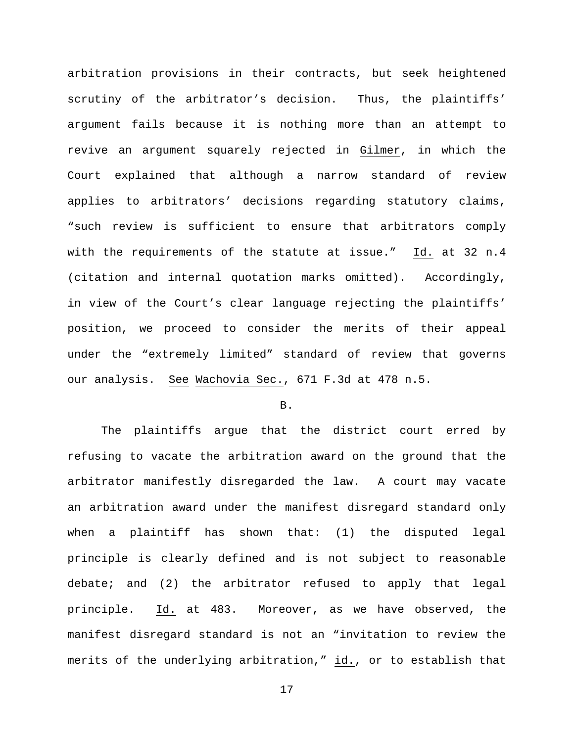arbitration provisions in their contracts, but seek heightened scrutiny of the arbitrator's decision. Thus, the plaintiffs' argument fails because it is nothing more than an attempt to revive an argument squarely rejected in Gilmer, in which the Court explained that although a narrow standard of review applies to arbitrators' decisions regarding statutory claims, "such review is sufficient to ensure that arbitrators comply with the requirements of the statute at issue." Id. at 32 n.4 (citation and internal quotation marks omitted). Accordingly, in view of the Court's clear language rejecting the plaintiffs' position, we proceed to consider the merits of their appeal under the "extremely limited" standard of review that governs our analysis. See Wachovia Sec., 671 F.3d at 478 n.5.

## B.

The plaintiffs argue that the district court erred by refusing to vacate the arbitration award on the ground that the arbitrator manifestly disregarded the law. A court may vacate an arbitration award under the manifest disregard standard only when a plaintiff has shown that: (1) the disputed legal principle is clearly defined and is not subject to reasonable debate; and (2) the arbitrator refused to apply that legal principle. Id. at 483. Moreover, as we have observed, the manifest disregard standard is not an "invitation to review the merits of the underlying arbitration," id., or to establish that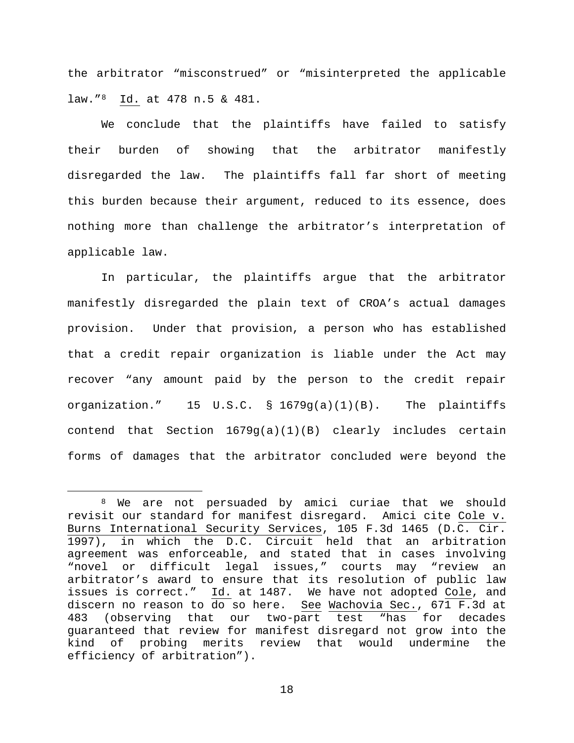the arbitrator "misconstrued" or "misinterpreted the applicable law."[8](#page-17-0) Id. at 478 n.5 & 481.

We conclude that the plaintiffs have failed to satisfy their burden of showing that the arbitrator manifestly disregarded the law. The plaintiffs fall far short of meeting this burden because their argument, reduced to its essence, does nothing more than challenge the arbitrator's interpretation of applicable law.

In particular, the plaintiffs argue that the arbitrator manifestly disregarded the plain text of CROA's actual damages provision. Under that provision, a person who has established that a credit repair organization is liable under the Act may recover "any amount paid by the person to the credit repair organization." 15 U.S.C. § 1679g(a)(1)(B). The plaintiffs contend that Section 1679g(a)(1)(B) clearly includes certain forms of damages that the arbitrator concluded were beyond the

<span id="page-17-0"></span> <sup>8</sup> We are not persuaded by amici curiae that we should revisit our standard for manifest disregard. Amici cite Cole v. Burns International Security Services, 105 F.3d 1465 (D.C. Cir. 1997), in which the D.C. Circuit held that an arbitration agreement was enforceable, and stated that in cases involving "novel or difficult legal issues," courts may "review an arbitrator's award to ensure that its resolution of public law issues is correct." Id. at 1487. We have not adopted Cole, and discern no reason to  $\overline{do}$  so here. See Wachovia Sec., 671 F.3d at 483 (observing that our two-part test "has for decades guaranteed that review for manifest disregard not grow into the kind of probing merits review that would undermine the efficiency of arbitration").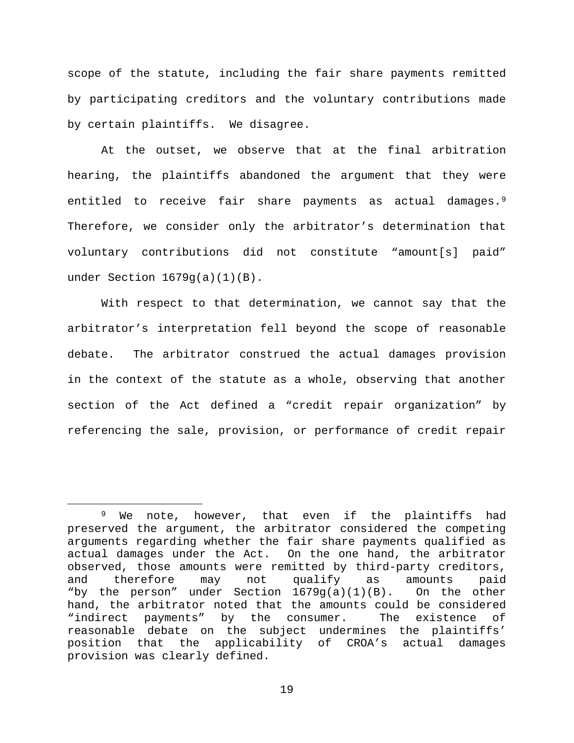scope of the statute, including the fair share payments remitted by participating creditors and the voluntary contributions made by certain plaintiffs. We disagree.

At the outset, we observe that at the final arbitration hearing, the plaintiffs abandoned the argument that they were entitled to receive fair share payments as actual damages.<sup>[9](#page-18-0)</sup> Therefore, we consider only the arbitrator's determination that voluntary contributions did not constitute "amount[s] paid" under Section 1679g(a)(1)(B).

With respect to that determination, we cannot say that the arbitrator's interpretation fell beyond the scope of reasonable debate. The arbitrator construed the actual damages provision in the context of the statute as a whole, observing that another section of the Act defined a "credit repair organization" by referencing the sale, provision, or performance of credit repair

<span id="page-18-0"></span><sup>&</sup>lt;sup>9</sup> We note, however, that even if the plaintiffs had preserved the argument, the arbitrator considered the competing arguments regarding whether the fair share payments qualified as actual damages under the Act. On the one hand, the arbitrator observed, those amounts were remitted by third-party creditors, and therefore may not qualify as amounts paid "by the person" under Section  $1679g(a)(1)(B)$ . On the other hand, the arbitrator noted that the amounts could be considered<br>"indirect payments" by the consumer. The existence of "indirect payments" by the consumer. reasonable debate on the subject undermines the plaintiffs' position that the applicability of CROA's actual damages provision was clearly defined.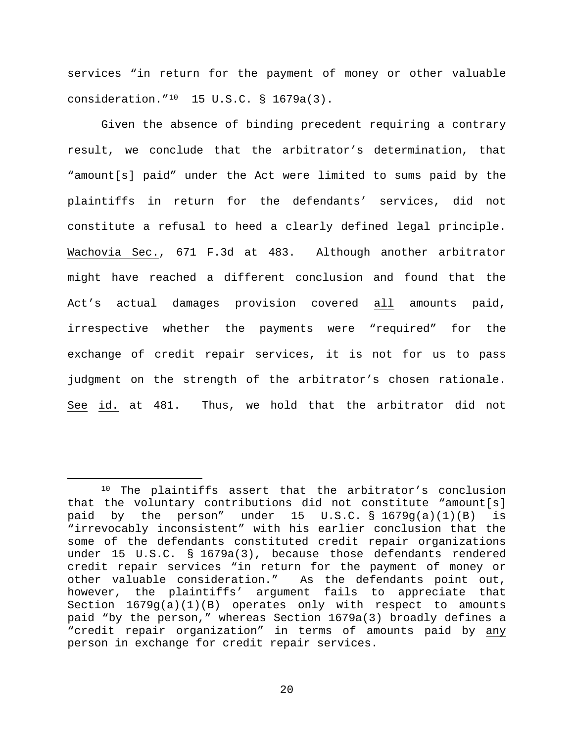services "in return for the payment of money or other valuable consideration."[10](#page-19-0) 15 U.S.C. § 1679a(3).

Given the absence of binding precedent requiring a contrary result, we conclude that the arbitrator's determination, that "amount[s] paid" under the Act were limited to sums paid by the plaintiffs in return for the defendants' services, did not constitute a refusal to heed a clearly defined legal principle. Wachovia Sec., 671 F.3d at 483. Although another arbitrator might have reached a different conclusion and found that the Act's actual damages provision covered all amounts paid, irrespective whether the payments were "required" for the exchange of credit repair services, it is not for us to pass judgment on the strength of the arbitrator's chosen rationale. See id. at 481. Thus, we hold that the arbitrator did not

<span id="page-19-0"></span> <sup>10</sup> The plaintiffs assert that the arbitrator's conclusion that the voluntary contributions did not constitute "amount[s] paid by the person" under 15  $U.S.C. S 1679g(a)(1)(B)$  is "irrevocably inconsistent" with his earlier conclusion that the some of the defendants constituted credit repair organizations under 15 U.S.C. § 1679a(3), because those defendants rendered credit repair services "in return for the payment of money or other valuable consideration." As the defendants point out, however, the plaintiffs' argument fails to appreciate that Section 1679g(a)(1)(B) operates only with respect to amounts paid "by the person," whereas Section 1679a(3) broadly defines a "credit repair organization" in terms of amounts paid by any person in exchange for credit repair services.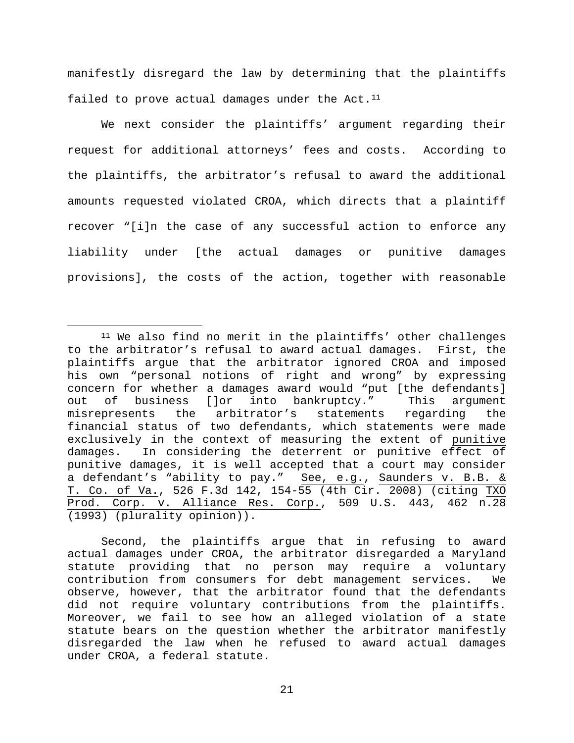manifestly disregard the law by determining that the plaintiffs failed to prove actual damages under the Act.<sup>11</sup>

We next consider the plaintiffs' argument regarding their request for additional attorneys' fees and costs. According to the plaintiffs, the arbitrator's refusal to award the additional amounts requested violated CROA, which directs that a plaintiff recover "[i]n the case of any successful action to enforce any liability under [the actual damages or punitive damages provisions], the costs of the action, together with reasonable

Second, the plaintiffs argue that in refusing to award actual damages under CROA, the arbitrator disregarded a Maryland statute providing that no person may require a voluntary contribution from consumers for debt management services. We observe, however, that the arbitrator found that the defendants did not require voluntary contributions from the plaintiffs. Moreover, we fail to see how an alleged violation of a state statute bears on the question whether the arbitrator manifestly disregarded the law when he refused to award actual damages under CROA, a federal statute.

<span id="page-20-0"></span> <sup>11</sup> We also find no merit in the plaintiffs' other challenges to the arbitrator's refusal to award actual damages. First, the plaintiffs argue that the arbitrator ignored CROA and imposed his own "personal notions of right and wrong" by expressing concern for whether a damages award would "put [the defendants]<br>out of business []or into bankruptcy." This argument into bankruptcy." misrepresents the arbitrator's statements regarding the financial status of two defendants, which statements were made exclusively in the context of measuring the extent of punitive damages. In considering the deterrent or punitive effect of punitive damages, it is well accepted that a court may consider a defendant's "ability to pay." See, e.g., Saunders v. B.B. & T. Co. of Va., 526 F.3d 142, 154-55 (4th Cir. 2008) (citing TXO Prod. Corp. v. Alliance Res. Corp., 509 U.S. 443, 462 n.28 (1993) (plurality opinion)).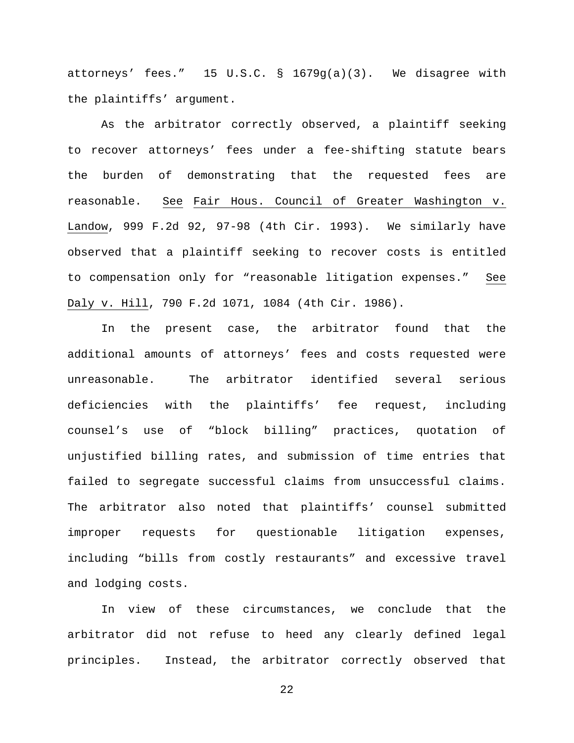attorneys' fees." 15 U.S.C. § 1679g(a)(3). We disagree with the plaintiffs' argument.

As the arbitrator correctly observed, a plaintiff seeking to recover attorneys' fees under a fee-shifting statute bears the burden of demonstrating that the requested fees are reasonable. See Fair Hous. Council of Greater Washington v. Landow, 999 F.2d 92, 97-98 (4th Cir. 1993). We similarly have observed that a plaintiff seeking to recover costs is entitled to compensation only for "reasonable litigation expenses." See Daly v. Hill, 790 F.2d 1071, 1084 (4th Cir. 1986).

In the present case, the arbitrator found that the additional amounts of attorneys' fees and costs requested were unreasonable. The arbitrator identified several serious deficiencies with the plaintiffs' fee request, including counsel's use of "block billing" practices, quotation of unjustified billing rates, and submission of time entries that failed to segregate successful claims from unsuccessful claims. The arbitrator also noted that plaintiffs' counsel submitted improper requests for questionable litigation expenses, including "bills from costly restaurants" and excessive travel and lodging costs.

In view of these circumstances, we conclude that the arbitrator did not refuse to heed any clearly defined legal principles. Instead, the arbitrator correctly observed that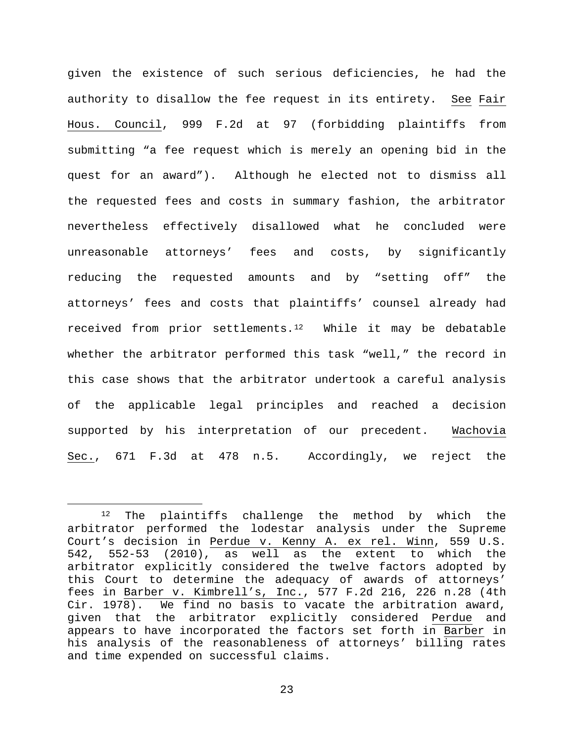given the existence of such serious deficiencies, he had the authority to disallow the fee request in its entirety. See Fair Hous. Council, 999 F.2d at 97 (forbidding plaintiffs from submitting "a fee request which is merely an opening bid in the quest for an award"). Although he elected not to dismiss all the requested fees and costs in summary fashion, the arbitrator nevertheless effectively disallowed what he concluded were unreasonable attorneys' fees and costs, by significantly reducing the requested amounts and by "setting off" the attorneys' fees and costs that plaintiffs' counsel already had received from prior settlements.<sup>12</sup> While it may be debatable whether the arbitrator performed this task "well," the record in this case shows that the arbitrator undertook a careful analysis of the applicable legal principles and reached a decision supported by his interpretation of our precedent. Wachovia Sec., 671 F.3d at 478 n.5. Accordingly, we reject the

<span id="page-22-0"></span> <sup>12</sup> The plaintiffs challenge the method by which the arbitrator performed the lodestar analysis under the Supreme Court's decision in Perdue v. Kenny A. ex rel. Winn, 559 U.S. 542, 552-53 (2010), as well as the extent to which the arbitrator explicitly considered the twelve factors adopted by this Court to determine the adequacy of awards of attorneys' fees in Barber v. Kimbrell's, Inc., 577 F.2d 216, 226 n.28 (4th Cir. 1978). We find no basis to vacate the arbitration award, given that the arbitrator explicitly considered Perdue and appears to have incorporated the factors set forth in Barber in his analysis of the reasonableness of attorneys' billing rates and time expended on successful claims.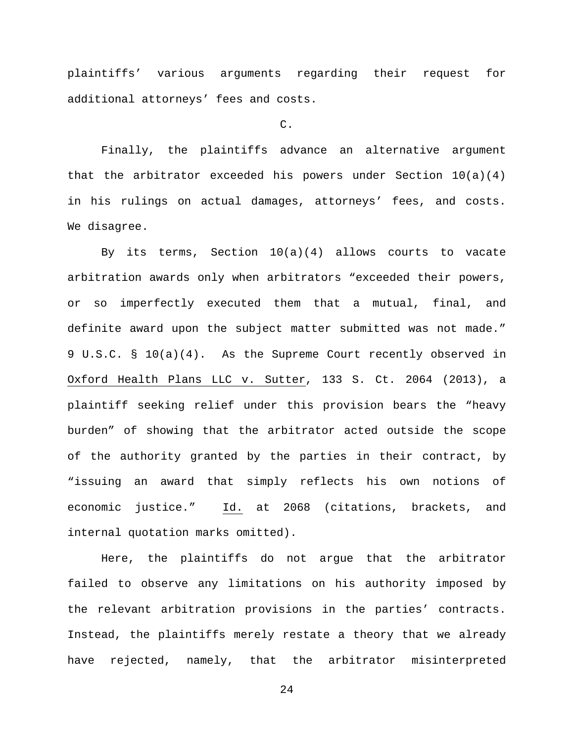plaintiffs' various arguments regarding their request for additional attorneys' fees and costs.

## C.

Finally, the plaintiffs advance an alternative argument that the arbitrator exceeded his powers under Section  $10(a)(4)$ in his rulings on actual damages, attorneys' fees, and costs. We disagree.

By its terms, Section 10(a)(4) allows courts to vacate arbitration awards only when arbitrators "exceeded their powers, or so imperfectly executed them that a mutual, final, and definite award upon the subject matter submitted was not made." 9 U.S.C. § 10(a)(4). As the Supreme Court recently observed in Oxford Health Plans LLC v. Sutter, 133 S. Ct. 2064 (2013), a plaintiff seeking relief under this provision bears the "heavy burden" of showing that the arbitrator acted outside the scope of the authority granted by the parties in their contract, by "issuing an award that simply reflects his own notions of economic justice." Id. at 2068 (citations, brackets, and internal quotation marks omitted).

Here, the plaintiffs do not argue that the arbitrator failed to observe any limitations on his authority imposed by the relevant arbitration provisions in the parties' contracts. Instead, the plaintiffs merely restate a theory that we already have rejected, namely, that the arbitrator misinterpreted